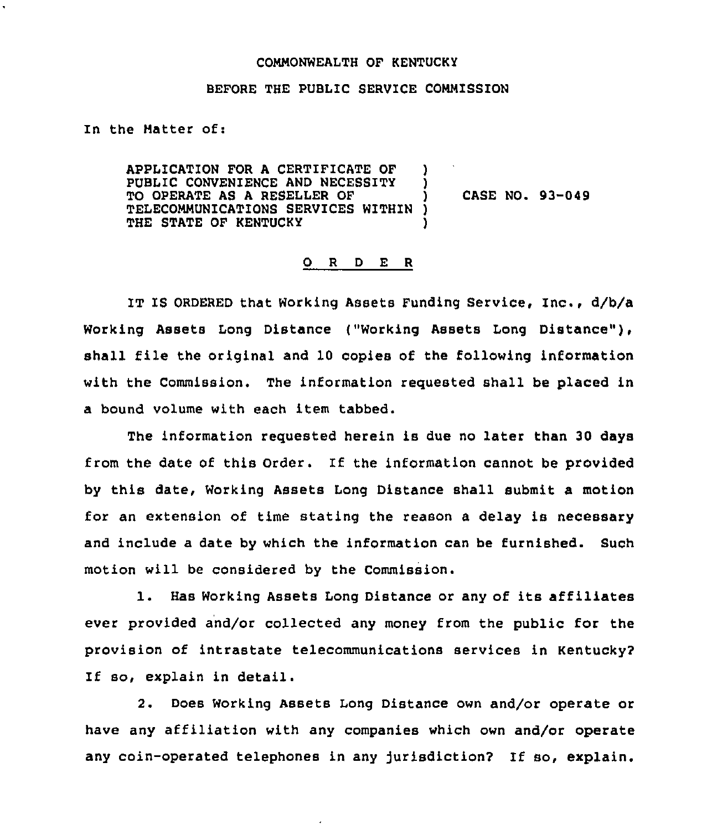## COMMONWEALTH OF KENTUCKY

## BEFORE THE PUBLIC SERVICE COMMISSION

In the Matter of:

APPLICATION FOR <sup>A</sup> CERTIFICATE OF ) PUBLIC CONVENIENCE AND NECESSITY TO OPERATE AS A RESELLER OF TELECOMMUNICATIONS SERVICES WITHIN )<br>THE STATE OF KENTUCKY ) THE STATE OF KENTUCKY

CASE NO. 93-049

## 0 <sup>R</sup> <sup>D</sup> E R

IT IS ORDERED that Working Assets Funding Service, Inc., d/b/a Working Assets Long Distance ("Working Assets Long Distance" ), shall file the original and 10 copies of the following information with the Commission, The information requested shall be placed in a bound volume with each item tabbed.

The information requested herein is due no later than 30 days from the date of this Order. If the information cannot be provided by this date, Working Assets Long Distance shall submit a motion for an extension of time stating the reason a delay is necessary and include a date by which the information can be furnished. Such motion will be considered by the Commission.

1. Has Working Assets Long Distance or any of its affiliates ever provided and/or collected any money from the public for the provision of intrastate telecommunications services in Kentucky? If so, explain in detail.

2. Does Working Assets Long Distance own and/or operate or have any affiliation with any companies which own and/or operate any coin-operated telephones in any jurisdiction? If so, explain.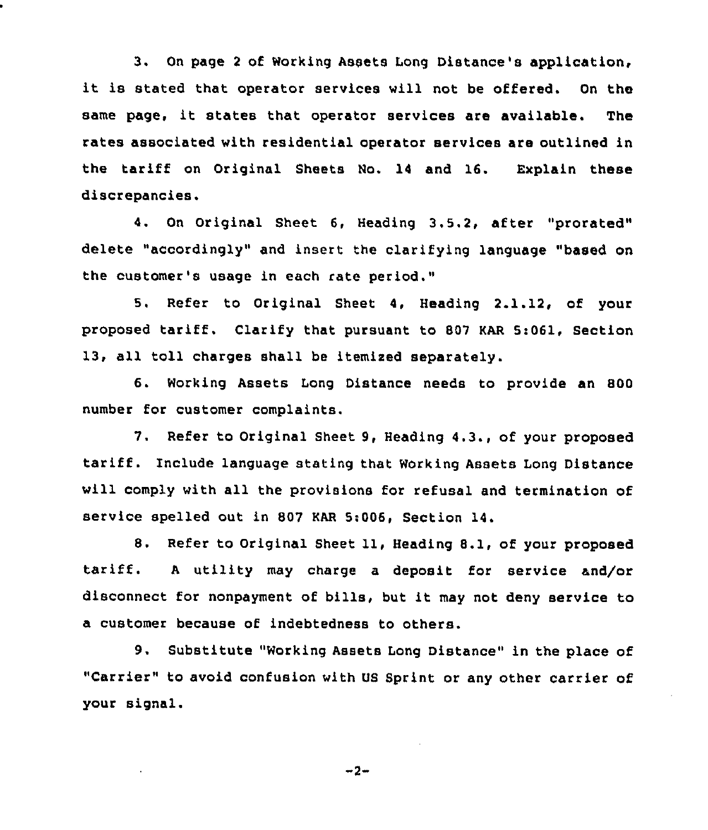3. On page <sup>2</sup> of Working Asaets Long Distance's application, it is stated that operator services will not be offered. On the same page, it states that operator services are available. The rates associated with residential operator services are outlined in the tariff on Original Sheets No. 14 and 16. Explain these discrepancies.

4. On Original Sheet 6, Heading 3.5.2, after "prorated" delete "accordingly" and insert the clarifying language "based on the customer's usage in each rate period."

5. Refer to Original Sheet 4, Heading 2.1.12, of your proposed tariff. Clarify that pursuant to <sup>807</sup> KAR Si061, Section 13, all toll charges shall be itemixed separately.

6. Working Assets Long Distance needs to provide an 800 number for customer complaints.

7. Refer to Original Sheet 9, Heading 4.3., of your proposed tariff. include language stating that Working Assets Long Distance will comply with all the provisions for refusal and termination of service spelled out in 807 KAR 5:006, Section 14.

8. Refer to Original Sheet 11, Heading 8.1, of your proposed tariff. <sup>A</sup> utility may charge <sup>a</sup> deposit for service and/or disconnect for nonpayment of bills, but it may not deny service to a customer because of indebtedness to others.

9. Substitute "Working Assets Long Distance" in the place of "Carrier" to avoid confusion with US Sprint or any other carrier of your signal.

 $-2-$